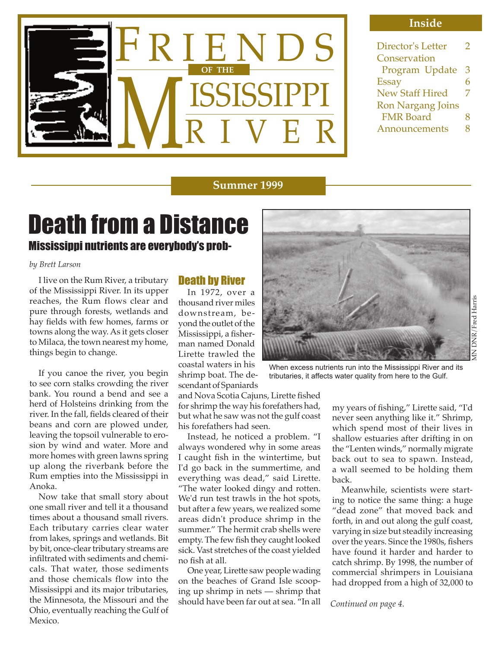

#### **Inside**

| Director's Letter        | 2 |
|--------------------------|---|
| Conservation             |   |
| Program Update           | З |
| <b>Essay</b>             | h |
| <b>New Staff Hired</b>   | 7 |
| <b>Ron Nargang Joins</b> |   |
| <b>FMR Board</b>         | 8 |
| Announcements            | x |
|                          |   |

#### **Summer 1999**

# Mississippi nutrients are everybody's prob-Death from a Distance

#### *by Brett Larson*

 I live on the Rum River, a tributary of the Mississippi River. In its upper reaches, the Rum flows clear and pure through forests, wetlands and hay fields with few homes, farms or towns along the way. As it gets closer to Milaca, the town nearest my home, things begin to change.

 If you canoe the river, you begin to see corn stalks crowding the river bank. You round a bend and see a herd of Holsteins drinking from the river. In the fall, fields cleared of their beans and corn are plowed under, leaving the topsoil vulnerable to erosion by wind and water. More and more homes with green lawns spring up along the riverbank before the Rum empties into the Mississippi in Anoka.

 Now take that small story about one small river and tell it a thousand times about a thousand small rivers. Each tributary carries clear water from lakes, springs and wetlands. Bit by bit, once-clear tributary streams are infiltrated with sediments and chemicals. That water, those sediments and those chemicals flow into the Mississippi and its major tributaries, the Minnesota, the Missouri and the Ohio, eventually reaching the Gulf of Mexico.

## Death by River

 In 1972, over a thousand river miles downstream, beyond the outlet of the Mississippi, a fisherman named Donald Lirette trawled the coastal waters in his shrimp boat. The descendant of Spaniards

and Nova Scotia Cajuns, Lirette fished for shrimp the way his forefathers had, but what he saw was not the gulf coast his forefathers had seen.

 Instead, he noticed a problem. "I always wondered why in some areas I caught fish in the wintertime, but I'd go back in the summertime, and everything was dead," said Lirette. "The water looked dingy and rotten. We'd run test trawls in the hot spots, but after a few years, we realized some areas didn't produce shrimp in the summer." The hermit crab shells were empty. The few fish they caught looked sick. Vast stretches of the coast yielded no fish at all.

 One year, Lirette saw people wading on the beaches of Grand Isle scooping up shrimp in nets — shrimp that should have been far out at sea. "In all



When excess nutrients run into the Mississippi River and its tributaries, it affects water quality from here to the Gulf.

my years of fishing," Lirette said, "I'd never seen anything like it." Shrimp, which spend most of their lives in shallow estuaries after drifting in on the "Lenten winds," normally migrate back out to sea to spawn. Instead, a wall seemed to be holding them back.

 Meanwhile, scientists were starting to notice the same thing: a huge "dead zone" that moved back and forth, in and out along the gulf coast, varying in size but steadily increasing over the years. Since the 1980s, fishers have found it harder and harder to catch shrimp. By 1998, the number of commercial shrimpers in Louisiana had dropped from a high of 32,000 to

*Continued on page 4.*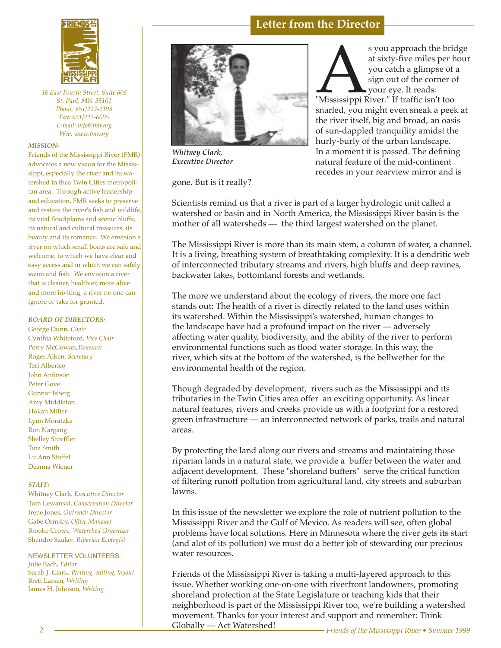

*46 East Fourth Street, Suite 606 St. Paul, MN 55101 Phone: 651/222-2193 Fax: 651/222-6005 E-mail: info@fmr.org Web: www.fmr.org*

#### *MISSION:*

Friends of the Mississippi River (FMR) advocates a new vision for the Mississippi, especially the river and its watershed in thea Twin Cities metropolitan area. Through active leadership and education, FMR seeks to preserve and restore the river's fish and wildlife, its vital floodplains and scenic bluffs, its natural and cultural treasures, its beauty and its romance. We envision a river on which small boats are safe and welcome, to which we have clear and easy access and in which we can safely swim and fish. We envision a river that is cleaner, healthier, more alive and more inviting, a river no one can ignore or take for granted.

#### *BOARD OF DIRECTORS:*

George Dunn, *Chair* Cynthia Whiteford, *Vice Chair* Perry McGowan,*Treasurer* Roger Aiken, *Secretary* Teri Alberico John Anfinson Peter Gove Gunnar Isberg Amy Middleton Hokan Miller Lynn Moratzka Ron Nargang Shelley Shreffler Tina Smith Lu Ann Stoffel Deanna Wiener

#### *STAFF:*

Whitney Clark*, Executive Director* Tom Lewanski*, Conservation Director* Irene Jones, *Outreach Director* Gabe Ormsby, *Office Manager* Brooke Crowe*, Watershed Organizer* Shandor Szalay*, Riparian Ecologist*

#### NEWSLETTER VOLUNTEERS: Julie Bach, *Editor* Sarah J. Clark, *Writing, editing, layout*

Brett Larsen, *Writing* James H. Johnson*, Writing*



*Whitney Clark, Executive Director*

gone. But is it really?

s you approach the bridge<br>at sixty-five miles per hour<br>you catch a glimpse of a<br>sign out of the corner of<br>your eye. It reads:<br>"Mississippi River." If traffic isn't too<br>snarled, you might even sneak a peek at at sixty-five miles per hour you catch a glimpse of a sign out of the corner of your eye. It reads: "Mississippi River." If traffic isn't too the river itself, big and broad, an oasis of sun-dappled tranquility amidst the hurly-burly of the urban landscape. In a moment it is passed. The defining natural feature of the mid-continent recedes in your rearview mirror and is

Scientists remind us that a river is part of a larger hydrologic unit called a watershed or basin and in North America, the Mississippi River basin is the mother of all watersheds — the third largest watershed on the planet.

**Letter from the Director**

The Mississippi River is more than its main stem, a column of water, a channel. It is a living, breathing system of breathtaking complexity. It is a dendritic web of interconnected tributary streams and rivers, high bluffs and deep ravines, backwater lakes, bottomland forests and wetlands.

The more we understand about the ecology of rivers, the more one fact stands out: The health of a river is directly related to the land uses within its watershed. Within the Mississippi's watershed, human changes to the landscape have had a profound impact on the river — adversely affecting water quality, biodiversity, and the ability of the river to perform environmental functions such as flood water storage. In this way, the river, which sits at the bottom of the watershed, is the bellwether for the environmental health of the region.

Though degraded by development, rivers such as the Mississippi and its tributaries in the Twin Cities area offer an exciting opportunity. As linear natural features, rivers and creeks provide us with a footprint for a restored green infrastructure — an interconnected network of parks, trails and natural areas.

By protecting the land along our rivers and streams and maintaining those riparian lands in a natural state, we provide a buffer between the water and adjacent development. These "shoreland buffers" serve the critical function of filtering runoff pollution from agricultural land, city streets and suburban lawns.

In this issue of the newsletter we explore the role of nutrient pollution to the Mississippi River and the Gulf of Mexico. As readers will see, often global problems have local solutions. Here in Minnesota where the river gets its start (and alot of its pollution) we must do a better job of stewarding our precious water resources.

Friends of the Mississippi River is taking a multi-layered approach to this issue. Whether working one-on-one with riverfront landowners, promoting shoreland protection at the State Legislature or teaching kids that their neighborhood is part of the Mississippi River too, we're building a watershed movement. Thanks for your interest and support and remember: Think<br>Globally — Act Watershed!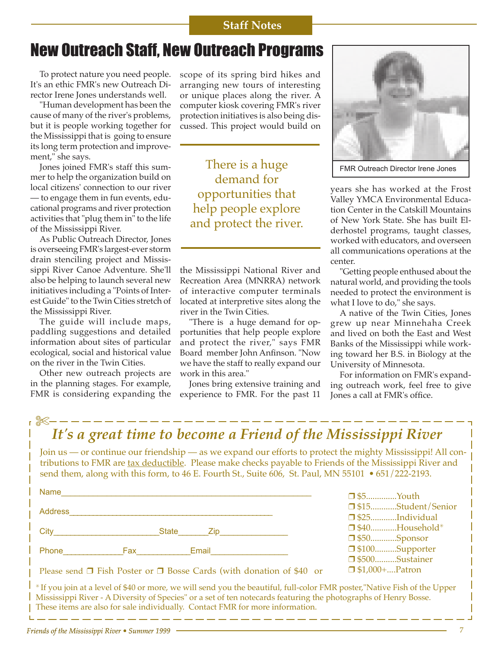## **Staff Notes**

## New Outreach Staff, New Outreach Programs

 To protect nature you need people. It's an ethic FMR's new Outreach Director Irene Jones understands well.

 "Human development has been the cause of many of the river's problems, but it is people working together for the Mississippi that is going to ensure its long term protection and improvement," she says.

 Jones joined FMR's staff this summer to help the organization build on local citizens' connection to our river — to engage them in fun events, educational programs and river protection activities that "plug them in" to the life of the Mississippi River.

 As Public Outreach Director, Jones is overseeing FMR's largest-ever storm drain stenciling project and Mississippi River Canoe Adventure. She'll also be helping to launch several new initiatives including a "Points of Interest Guide" to the Twin Cities stretch of the Mississippi River.

 The guide will include maps, paddling suggestions and detailed information about sites of particular ecological, social and historical value on the river in the Twin Cities.

 Other new outreach projects are in the planning stages. For example, FMR is considering expanding the scope of its spring bird hikes and arranging new tours of interesting or unique places along the river. A computer kiosk covering FMR's river protection initiatives is also being discussed. This project would build on

There is a huge demand for opportunities that help people explore and protect the river.

the Mississippi National River and Recreation Area (MNRRA) network of interactive computer terminals located at interpretive sites along the river in the Twin Cities.

 "There is a huge demand for opportunities that help people explore and protect the river," says FMR Board member John Anfinson. "Now we have the staff to really expand our work in this area."

 Jones bring extensive training and experience to FMR. For the past 11



FMR Outreach Director Irene Jones

years she has worked at the Frost Valley YMCA Environmental Education Center in the Catskill Mountains of New York State. She has built Elderhostel programs, taught classes, worked with educators, and overseen all communications operations at the center.

 "Getting people enthused about the natural world, and providing the tools needed to protect the environment is what I love to do," she says.

 A native of the Twin Cities, Jones grew up near Minnehaha Creek and lived on both the East and West Banks of the Mississippi while working toward her B.S. in Biology at the University of Minnesota.

 For information on FMR's expanding outreach work, feel free to give Jones a call at FMR's office.

| It's a great time to become a Friend of the Mississippi River                                                                                                                                                                                                                                                                  |                                                            |
|--------------------------------------------------------------------------------------------------------------------------------------------------------------------------------------------------------------------------------------------------------------------------------------------------------------------------------|------------------------------------------------------------|
| Join us — or continue our friendship — as we expand our efforts to protect the mighty Mississippi! All con-<br>tributions to FMR are tax deductible. Please make checks payable to Friends of the Mississippi River and<br>send them, along with this form, to 46 E. Fourth St., Suite 606, St. Paul, MN 55101 • 651/222-2193. |                                                            |
| Name                                                                                                                                                                                                                                                                                                                           | $\Box$ \$5Youth                                            |
| <b>Address</b>                                                                                                                                                                                                                                                                                                                 | □ \$15Student/Senior<br>$\Box$ \$25Individual              |
| State Zip<br>City                                                                                                                                                                                                                                                                                                              | $\Box$ \$40Household*                                      |
| Phone<br>Fax <b>Francisco State</b><br>Email                                                                                                                                                                                                                                                                                   | $\Box$ \$50Sponsor<br>□ \$100Supporter<br>□ \$500Sustainer |
| Please send $\Box$ Fish Poster or $\Box$ Bosse Cards (with donation of \$40 or                                                                                                                                                                                                                                                 | $\Box$ \$1,000+Patron                                      |
| *If you join at a level of \$40 or more, we will send you the beautiful, full-color FMR poster,"Native Fish of the Upper                                                                                                                                                                                                       |                                                            |

✳ If you join at a level of \$40 or more, we will send you the beautiful, full-color FMR poster,"Native Fish of the Upper Mississippi River - A Diversity of Species" or a set of ten notecards featuring the photographs of Henry Bosse. These items are also for sale individually. Contact FMR for more information.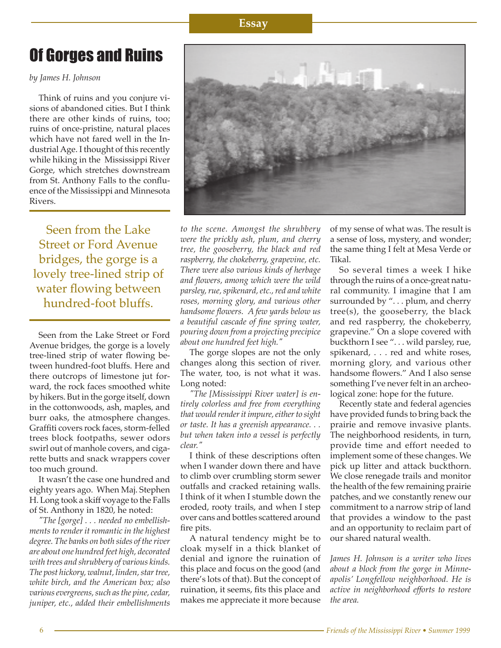### **Essay**

# Of Gorges and Ruins

*by James H. Johnson*

 Think of ruins and you conjure visions of abandoned cities. But I think there are other kinds of ruins, too; ruins of once-pristine, natural places which have not fared well in the Industrial Age. I thought of this recently while hiking in the Mississippi River Gorge, which stretches downstream from St. Anthony Falls to the confluence of the Mississippi and Minnesota Rivers.

Seen from the Lake Street or Ford Avenue bridges, the gorge is a lovely tree-lined strip of water flowing between hundred-foot bluffs.

 Seen from the Lake Street or Ford Avenue bridges, the gorge is a lovely tree-lined strip of water flowing between hundred-foot bluffs. Here and there outcrops of limestone jut forward, the rock faces smoothed white by hikers. But in the gorge itself, down in the cottonwoods, ash, maples, and burr oaks, the atmosphere changes. Graffiti covers rock faces, storm-felled trees block footpaths, sewer odors swirl out of manhole covers, and cigarette butts and snack wrappers cover too much ground.

 It wasn't the case one hundred and eighty years ago. When Maj. Stephen H. Long took a skiff voyage to the Falls of St. Anthony in 1820, he noted:

 *"The [gorge] . . . needed no embellishments to render it romantic in the highest degree. The banks on both sides of the river are about one hundred feet high, decorated with trees and shrubbery of various kinds. The post hickory, walnut, linden, star tree, white birch, and the American box; also various evergreens, such as the pine, cedar, juniper, etc., added their embellishments* 



*to the scene. Amongst the shrubbery were the prickly ash, plum, and cherry tree, the gooseberry, the black and red raspberry, the chokeberry, grapevine, etc. There were also various kinds of herbage and flowers, among which were the wild parsley, rue, spikenard, etc., red and white roses, morning glory, and various other handsome flowers. A few yards below us a beautiful cascade of fine spring water, pouring down from a projecting precipice about one hundred feet high."*

 The gorge slopes are not the only changes along this section of river. The water, too, is not what it was. Long noted:

 *"The [Mississippi River water] is entirely colorless and free from everything that would render it impure, either to sight or taste. It has a greenish appearance. . . but when taken into a vessel is perfectly clear."*

 I think of these descriptions often when I wander down there and have to climb over crumbling storm sewer outfalls and cracked retaining walls. I think of it when I stumble down the eroded, rooty trails, and when I step over cans and bottles scattered around fire pits.

 A natural tendency might be to cloak myself in a thick blanket of denial and ignore the ruination of this place and focus on the good (and there's lots of that). But the concept of ruination, it seems, fits this place and makes me appreciate it more because

of my sense of what was. The result is a sense of loss, mystery, and wonder; the same thing I felt at Mesa Verde or Tikal.

 So several times a week I hike through the ruins of a once-great natural community. I imagine that I am surrounded by "... plum, and cherry tree(s), the gooseberry, the black and red raspberry, the chokeberry, grapevine." On a slope covered with buckthorn I see ". . . wild parsley, rue, spikenard, . . . red and white roses, morning glory, and various other handsome flowers." And I also sense something I've never felt in an archeological zone: hope for the future.

 Recently state and federal agencies have provided funds to bring back the prairie and remove invasive plants. The neighborhood residents, in turn, provide time and effort needed to implement some of these changes. We pick up litter and attack buckthorn. We close renegade trails and monitor the health of the few remaining prairie patches, and we constantly renew our commitment to a narrow strip of land that provides a window to the past and an opportunity to reclaim part of our shared natural wealth.

*James H. Johnson is a writer who lives about a block from the gorge in Minneapolis' Longfellow neighborhood. He is active in neighborhood efforts to restore the area.*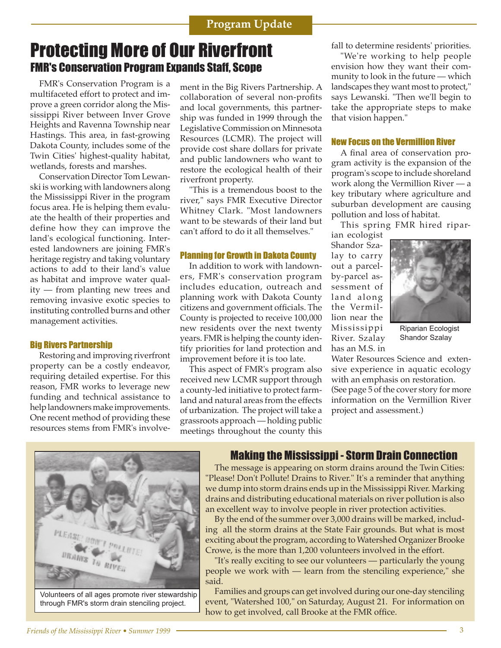## Protecting More of Our Riverfront FMR's Conservation Program Expands Staff, Scope

 FMR's Conservation Program is a multifaceted effort to protect and improve a green corridor along the Mississippi River between Inver Grove Heights and Ravenna Township near Hastings. This area, in fast-growing Dakota County, includes some of the Twin Cities' highest-quality habitat, wetlands, forests and marshes.

 Conservation Director Tom Lewanski is working with landowners along the Mississippi River in the program focus area. He is helping them evaluate the health of their properties and define how they can improve the land's ecological functioning. Interested landowners are joining FMR's heritage registry and taking voluntary actions to add to their land's value as habitat and improve water quality — from planting new trees and removing invasive exotic species to instituting controlled burns and other management activities.

#### Big Rivers Partnership

 Restoring and improving riverfront property can be a costly endeavor, requiring detailed expertise. For this reason, FMR works to leverage new funding and technical assistance to help landowners make improvements. One recent method of providing these resources stems from FMR's involvement in the Big Rivers Partnership. A collaboration of several non-profits and local governments, this partnership was funded in 1999 through the Legislative Commission on Minnesota Resources (LCMR). The project will provide cost share dollars for private and public landowners who want to restore the ecological health of their riverfront property.

 "This is a tremendous boost to the river," says FMR Executive Director Whitney Clark. "Most landowners want to be stewards of their land but can't afford to do it all themselves."

#### Planning for Growth in Dakota County

 In addition to work with landowners, FMR's conservation program includes education, outreach and planning work with Dakota County citizens and government officials. The County is projected to receive 100,000 new residents over the next twenty years. FMR is helping the county identify priorities for land protection and improvement before it is too late.

 This aspect of FMR's program also received new LCMR support through a county-led initiative to protect farmland and natural areas from the effects of urbanization. The project will take a grassroots approach — holding public meetings throughout the county this

fall to determine residents' priorities.

 "We're working to help people envision how they want their community to look in the future — which landscapes they want most to protect," says Lewanski. "Then we'll begin to take the appropriate steps to make that vision happen."

#### New Focus on the Vermillion River

 A final area of conservation program activity is the expansion of the program's scope to include shoreland work along the Vermillion River — a key tributary where agriculture and suburban development are causing pollution and loss of habitat.

This spring FMR hired ripar-

ian ecologist Shandor Szalay to carry out a parcelby-parcel assessment of land along the Vermillion near the Mississippi River. Szalay has an M.S. in



Riparian Ecologist Shandor Szalay

Water Resources Science and extensive experience in aquatic ecology with an emphasis on restoration. (See page 5 of the cover story for more information on the Vermillion River project and assessment.)



through FMR's storm drain stenciling project.

### Making the Mississippi - Storm Drain Connection

 The message is appearing on storm drains around the Twin Cities: "Please! Don't Pollute! Drains to River." It's a reminder that anything we dump into storm drains ends up in the Mississippi River. Marking drains and distributing educational materials on river pollution is also an excellent way to involve people in river protection activities.

 By the end of the summer over 3,000 drains will be marked, including all the storm drains at the State Fair grounds. But what is most exciting about the program, according to Watershed Organizer Brooke Crowe, is the more than 1,200 volunteers involved in the effort.

 "It's really exciting to see our volunteers — particularly the young people we work with — learn from the stenciling experience," she said.

 Families and groups can get involved during our one-day stenciling event, "Watershed 100," on Saturday, August 21. For information on how to get involved, call Brooke at the FMR office.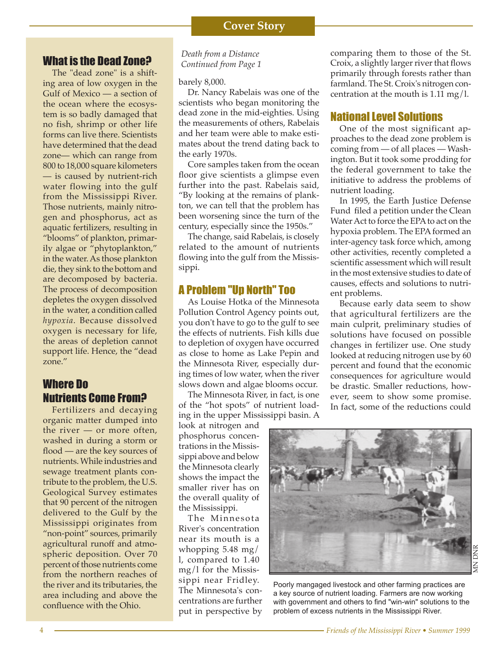## What is the Dead Zone?

 The "dead zone" is a shifting area of low oxygen in the Gulf of Mexico — a section of the ocean where the ecosystem is so badly damaged that no fish, shrimp or other life forms can live there. Scientists have determined that the dead zone— which can range from 800 to 18,000 square kilometers — is caused by nutrient-rich water flowing into the gulf from the Mississippi River. Those nutrients, mainly nitrogen and phosphorus, act as aquatic fertilizers, resulting in "blooms" of plankton, primarily algae or "phytoplankton," in the water. As those plankton die, they sink to the bottom and are decomposed by bacteria. The process of decomposition depletes the oxygen dissolved in the water, a condition called *hypoxia*. Because dissolved oxygen is necessary for life, the areas of depletion cannot support life. Hence, the "dead zone."

## Where Do Nutrients Come From?

 Fertilizers and decaying organic matter dumped into the river — or more often, washed in during a storm or flood — are the key sources of nutrients. While industries and sewage treatment plants contribute to the problem, the U.S. Geological Survey estimates that 90 percent of the nitrogen delivered to the Gulf by the Mississippi originates from "non-point" sources, primarily agricultural runoff and atmospheric deposition. Over 70 percent of those nutrients come from the northern reaches of the river and its tributaries, the area including and above the confluence with the Ohio.

#### *Death from a Distance Continued from Page 1*

#### barely 8,000.

 Dr. Nancy Rabelais was one of the scientists who began monitoring the dead zone in the mid-eighties. Using the measurements of others, Rabelais and her team were able to make estimates about the trend dating back to the early 1970s.

 Core samples taken from the ocean floor give scientists a glimpse even further into the past. Rabelais said, "By looking at the remains of plankton, we can tell that the problem has been worsening since the turn of the century, especially since the 1950s."

 The change, said Rabelais, is closely related to the amount of nutrients flowing into the gulf from the Mississippi.

## A Problem "Up North" Too

 As Louise Hotka of the Minnesota Pollution Control Agency points out, you don't have to go to the gulf to see the effects of nutrients. Fish kills due to depletion of oxygen have occurred as close to home as Lake Pepin and the Minnesota River, especially during times of low water, when the river slows down and algae blooms occur.

 The Minnesota River, in fact, is one of the "hot spots" of nutrient loading in the upper Mississippi basin. A

look at nitrogen and phosphorus concentrations in the Mississippi above and below the Minnesota clearly shows the impact the smaller river has on the overall quality of the Mississippi.

 The Minnesota River's concentration near its mouth is a whopping 5.48 mg/ l, compared to 1.40 mg/l for the Mississippi near Fridley. The Minnesota's concentrations are further put in perspective by comparing them to those of the St. Croix, a slightly larger river that flows primarily through forests rather than farmland. The St. Croix's nitrogen concentration at the mouth is 1.11 mg/l.

## National Level Solutions

 One of the most significant approaches to the dead zone problem is coming from — of all places — Washington. But it took some prodding for the federal government to take the initiative to address the problems of nutrient loading.

 In 1995, the Earth Justice Defense Fund filed a petition under the Clean Water Act to force the EPA to act on the hypoxia problem. The EPA formed an inter-agency task force which, among other activities, recently completed a scientific assessment which will result in the most extensive studies to date of causes, effects and solutions to nutrient problems.

 Because early data seem to show that agricultural fertilizers are the main culprit, preliminary studies of solutions have focused on possible changes in fertilizer use. One study looked at reducing nitrogen use by 60 percent and found that the economic consequences for agriculture would be drastic. Smaller reductions, however, seem to show some promise. In fact, some of the reductions could



Poorly mangaged livestock and other farming practices are a key source of nutrient loading. Farmers are now working with government and others to find "win-win" solutions to the problem of excess nutrients in the Mississippi River.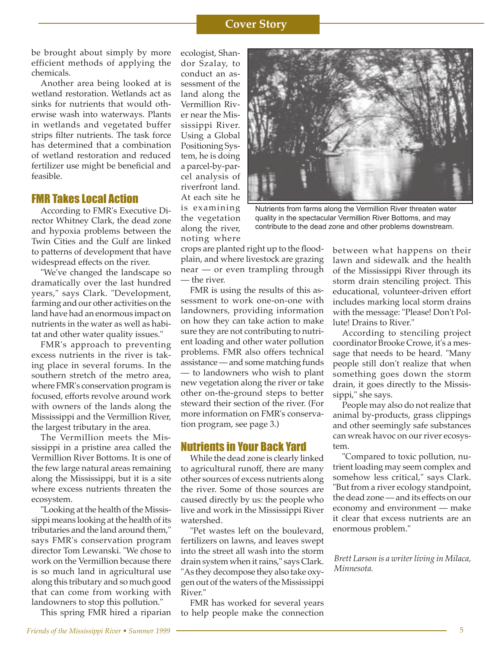#### **Cover Story**

be brought about simply by more efficient methods of applying the chemicals.

 Another area being looked at is wetland restoration. Wetlands act as sinks for nutrients that would otherwise wash into waterways. Plants in wetlands and vegetated buffer strips filter nutrients. The task force has determined that a combination of wetland restoration and reduced fertilizer use might be beneficial and feasible.

### FMR Takes Local Action

 According to FMR's Executive Director Whitney Clark, the dead zone and hypoxia problems between the Twin Cities and the Gulf are linked to patterns of development that have widespread effects on the river.

 "We've changed the landscape so dramatically over the last hundred years," says Clark. "Development, farming and our other activities on the land have had an enormous impact on nutrients in the water as well as habitat and other water quality issues."

 FMR's approach to preventing excess nutrients in the river is taking place in several forums. In the southern stretch of the metro area, where FMR's conservation program is focused, efforts revolve around work with owners of the lands along the Mississippi and the Vermillion River, the largest tributary in the area.

 The Vermillion meets the Mississippi in a pristine area called the Vermillion River Bottoms. It is one of the few large natural areas remaining along the Mississippi, but it is a site where excess nutrients threaten the ecosystem.

 "Looking at the health of the Mississippi means looking at the health of its tributaries and the land around them," says FMR's conservation program director Tom Lewanski. "We chose to work on the Vermillion because there is so much land in agricultural use along this tributary and so much good that can come from working with landowners to stop this pollution."

This spring FMR hired a riparian

ecologist, Shandor Szalay, to conduct an assessment of the land along the Vermillion River near the Mississippi River. Using a Global Positioning System, he is doing a parcel-by-parcel analysis of riverfront land. At each site he is examining the vegetation along the river, noting where



Nutrients from farms along the Vermillion River threaten water quality in the spectacular Vermillion River Bottoms, and may contribute to the dead zone and other problems downstream.

crops are planted right up to the floodplain, and where livestock are grazing near — or even trampling through — the river.

 FMR is using the results of this assessment to work one-on-one with landowners, providing information on how they can take action to make sure they are not contributing to nutrient loading and other water pollution problems. FMR also offers technical assistance — and some matching funds — to landowners who wish to plant new vegetation along the river or take other on-the-ground steps to better steward their section of the river. (For more information on FMR's conservation program, see page 3.)

#### Nutrients in Your Back Yard

 While the dead zone is clearly linked to agricultural runoff, there are many other sources of excess nutrients along the river. Some of those sources are caused directly by us: the people who live and work in the Mississippi River watershed.

 "Pet wastes left on the boulevard, fertilizers on lawns, and leaves swept into the street all wash into the storm drain system when it rains," says Clark. "As they decompose they also take oxygen out of the waters of the Mississippi River."

 FMR has worked for several years to help people make the connection

between what happens on their lawn and sidewalk and the health of the Mississippi River through its storm drain stenciling project. This educational, volunteer-driven effort includes marking local storm drains with the message: "Please! Don't Pollute! Drains to River."

 According to stenciling project coordinator Brooke Crowe, it's a message that needs to be heard. "Many people still don't realize that when something goes down the storm drain, it goes directly to the Mississippi," she says.

 People may also do not realize that animal by-products, grass clippings and other seemingly safe substances can wreak havoc on our river ecosystem.

 "Compared to toxic pollution, nutrient loading may seem complex and somehow less critical," says Clark. "But from a river ecology standpoint, the dead zone — and its effects on our economy and environment — make it clear that excess nutrients are an enormous problem."

*Brett Larson is a writer living in Milaca, Minnesota.*